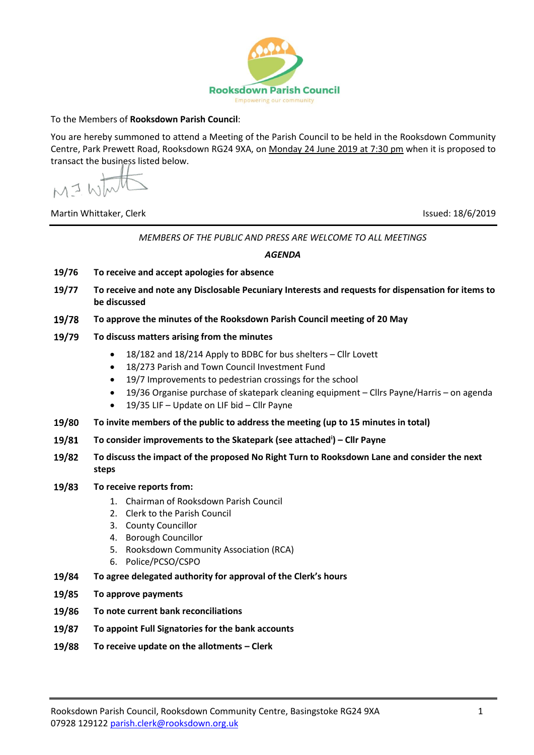

## To the Members of **Rooksdown Parish Council**:

You are hereby summoned to attend a Meeting of the Parish Council to be held in the Rooksdown Community Centre, Park Prewett Road, Rooksdown RG24 9XA, on Monday 24 June 2019 at 7:30 pm when it is proposed to transact the business listed below.

MIW

Martin Whittaker, Clerk Issued: 18/6/2019

*MEMBERS OF THE PUBLIC AND PRESS ARE WELCOME TO ALL MEETINGS*

*AGENDA*

- **19/76 To receive and accept apologies for absence**
- **19/77 To receive and note any Disclosable Pecuniary Interests and requests for dispensation for items to be discussed**
- 19/78 **To approve the minutes of the Rooksdown Parish Council meeting of 20 May**
- 19/79 **To discuss matters arising from the minutes**
	- 18/182 and 18/214 Apply to BDBC for bus shelters Cllr Lovett
	- 18/273 Parish and Town Council Investment Fund
	- 19/7 Improvements to pedestrian crossings for the school
	- 19/36 Organise purchase of skatepark cleaning equipment Cllrs Payne/Harris on agenda
	- 19/35 LIF Update on LIF bid Cllr Payne
- **To invite members of the public to address the meeting (up to 15 minutes in total)** 19/80
- 19/81 **To consider improvements to the Skatepark (see attached<sup>i</sup> ) – Cllr Payne**
- 19/82 **To discuss the impact of the proposed No Right Turn to Rooksdown Lane and consider the next steps**

## 19/83 **To receive reports from:**

- 1. Chairman of Rooksdown Parish Council
- 2. Clerk to the Parish Council
- 3. County Councillor
- 4. Borough Councillor
- 5. Rooksdown Community Association (RCA)
- 6. Police/PCSO/CSPO
- 19/84 **To agree delegated authority for approval of the Clerk's hours**
- 19/85 **To approve payments**
- **To note current bank reconciliations** 19/86
- 19/87 **To appoint Full Signatories for the bank accounts**
- 19/88 **To receive update on the allotments – Clerk**